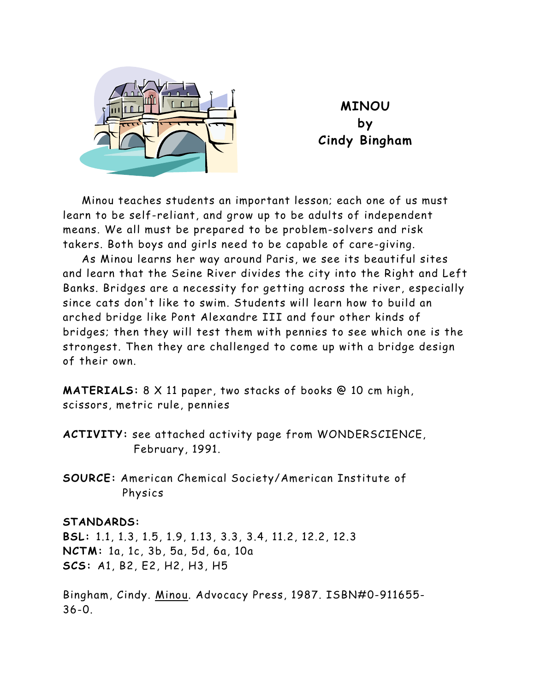



Minou teaches students an important lesson; each one of us must learn to be self-reliant, and grow up to be adults of independent means. We all must be prepared to be problem-solvers and risk takers. Both boys and girls need to be capable of care-giving.

As Minou learns her way around Paris, we see its beautiful sites and learn that the Seine River divides the city into the Right and Left Banks. Bridges are a necessity for getting across the river, especially since cats don't like to swim. Students will learn how to build an arched bridge like Pont Alexandre III and four other kinds of bridges; then they will test them with pennies to see which one is the strongest. Then they are challenged to come up with a bridge design of their own.

**MATERIALS:** 8 X 11 paper, two stacks of books @ 10 cm high, scissors, metric rule, pennies

**ACTIVITY:** see attached activity page from WONDERSCIENCE, February, 1991.

**SOURCE:** American Chemical Society/American Institute of Physics

## **STANDARDS:**

**BSL:** 1.1, 1.3, 1.5, 1.9, 1.13, 3.3, 3.4, 11.2, 12.2, 12.3 **NCTM:** 1a, 1c, 3b, 5a, 5d, 6a, 10a **SCS:** A1, B2, E2, H2, H3, H5

Bingham, Cindy. Minou. Advocacy Press, 1987. ISBN#0-911655- 36-0.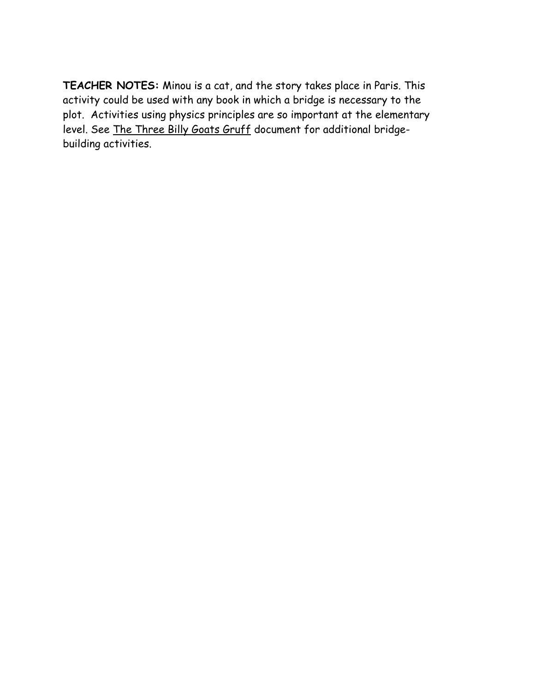**TEACHER NOTES:** Minou is a cat, and the story takes place in Paris. This activity could be used with any book in which a bridge is necessary to the plot. Activities using physics principles are so important at the elementary level. See The Three Billy Goats Gruff document for additional bridgebuilding activities.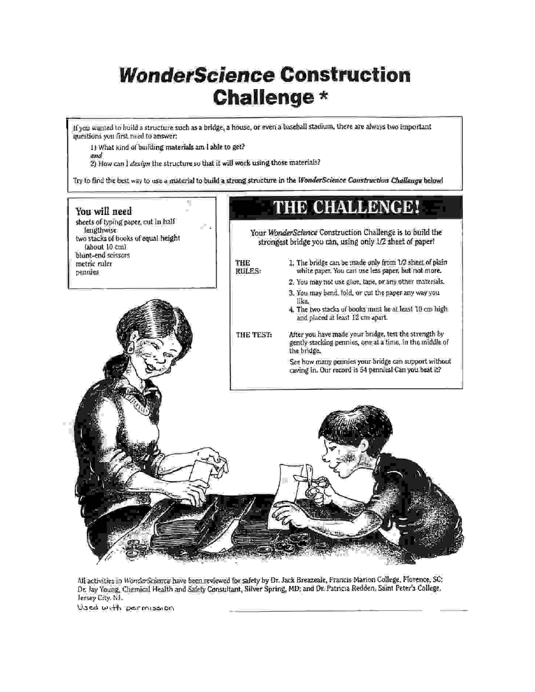## **WonderScience Construction** Challenge \*

If you wanted to build a structure such as a bridge, a house, or even a baseball stadium, there are always two important questions you first need to answer:

1) What kind of building materials am I able to get? and

2) How can I design the structure so that it will work using those materials?

Try to find the best way to use a material to build a strong structure in the WonderScience Construction Challenge below!



All activities in WonderScience have been reviewed for safety by Dr. Jack Breazeale, Francis Marion College, Florence, SC: Dr. Jay Young, Chemical Health and Safety Consultant, Silver Spring, MD; and Dr. Patricia Redden, Saint Peter's College, Jersey City, NJ.

Used with permission